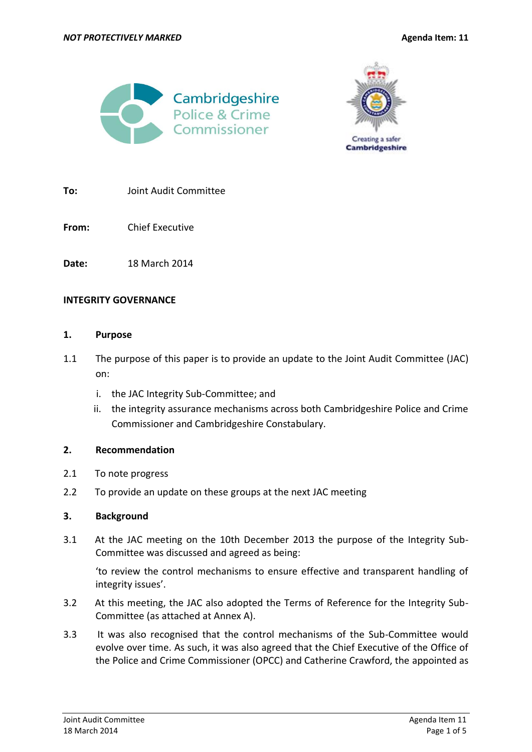



**To:** Joint Audit Committee

**From:** Chief Executive

**Date:** 18 March 2014

### **INTEGRITY GOVERNANCE**

### **1. Purpose**

- 1.1 The purpose of this paper is to provide an update to the Joint Audit Committee (JAC) on:
	- i. the JAC Integrity Sub-Committee; and
	- ii. the integrity assurance mechanisms across both Cambridgeshire Police and Crime Commissioner and Cambridgeshire Constabulary.

### **2. Recommendation**

- 2.1 To note progress
- 2.2 To provide an update on these groups at the next JAC meeting

### **3. Background**

3.1 At the JAC meeting on the 10th December 2013 the purpose of the Integrity Sub-Committee was discussed and agreed as being:

'to review the control mechanisms to ensure effective and transparent handling of integrity issues'.

- 3.2 At this meeting, the JAC also adopted the Terms of Reference for the Integrity Sub-Committee (as attached at Annex A).
- 3.3 It was also recognised that the control mechanisms of the Sub-Committee would evolve over time. As such, it was also agreed that the Chief Executive of the Office of the Police and Crime Commissioner (OPCC) and Catherine Crawford, the appointed as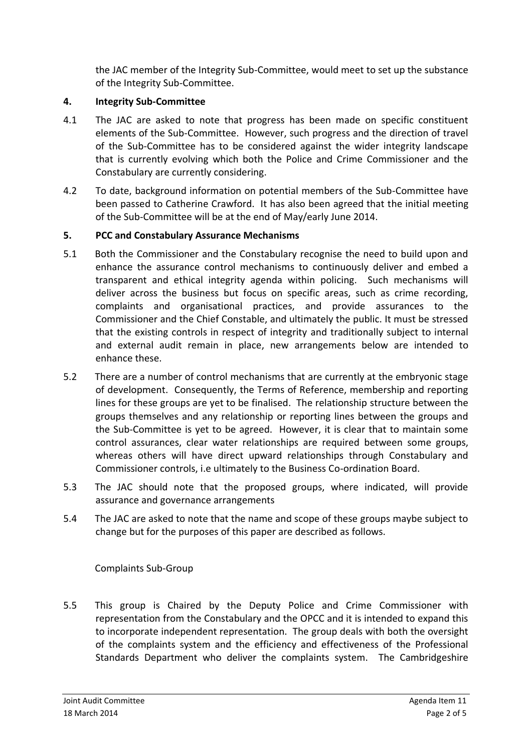the JAC member of the Integrity Sub-Committee, would meet to set up the substance of the Integrity Sub-Committee.

# **4. Integrity Sub-Committee**

- 4.1 The JAC are asked to note that progress has been made on specific constituent elements of the Sub-Committee. However, such progress and the direction of travel of the Sub-Committee has to be considered against the wider integrity landscape that is currently evolving which both the Police and Crime Commissioner and the Constabulary are currently considering.
- 4.2 To date, background information on potential members of the Sub-Committee have been passed to Catherine Crawford. It has also been agreed that the initial meeting of the Sub-Committee will be at the end of May/early June 2014.

## **5. PCC and Constabulary Assurance Mechanisms**

- 5.1 Both the Commissioner and the Constabulary recognise the need to build upon and enhance the assurance control mechanisms to continuously deliver and embed a transparent and ethical integrity agenda within policing. Such mechanisms will deliver across the business but focus on specific areas, such as crime recording, complaints and organisational practices, and provide assurances to the Commissioner and the Chief Constable, and ultimately the public. It must be stressed that the existing controls in respect of integrity and traditionally subject to internal and external audit remain in place, new arrangements below are intended to enhance these.
- 5.2 There are a number of control mechanisms that are currently at the embryonic stage of development. Consequently, the Terms of Reference, membership and reporting lines for these groups are yet to be finalised. The relationship structure between the groups themselves and any relationship or reporting lines between the groups and the Sub-Committee is yet to be agreed. However, it is clear that to maintain some control assurances, clear water relationships are required between some groups, whereas others will have direct upward relationships through Constabulary and Commissioner controls, i.e ultimately to the Business Co-ordination Board.
- 5.3 The JAC should note that the proposed groups, where indicated, will provide assurance and governance arrangements
- 5.4 The JAC are asked to note that the name and scope of these groups maybe subject to change but for the purposes of this paper are described as follows.

Complaints Sub-Group

5.5 This group is Chaired by the Deputy Police and Crime Commissioner with representation from the Constabulary and the OPCC and it is intended to expand this to incorporate independent representation. The group deals with both the oversight of the complaints system and the efficiency and effectiveness of the Professional Standards Department who deliver the complaints system. The Cambridgeshire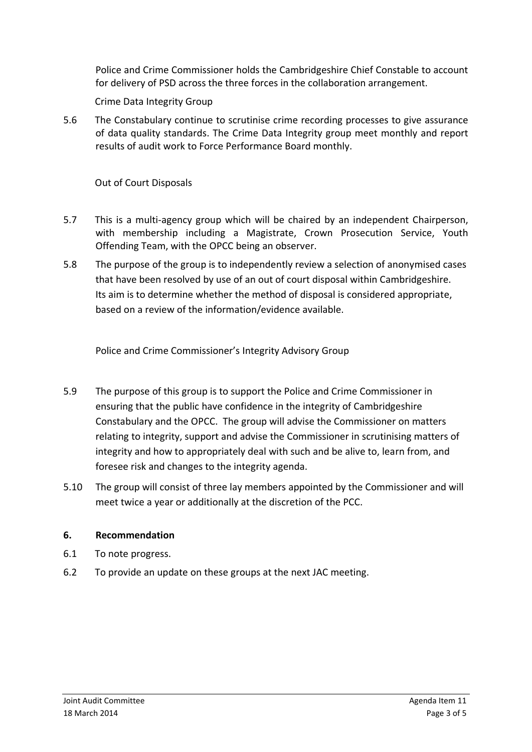Police and Crime Commissioner holds the Cambridgeshire Chief Constable to account for delivery of PSD across the three forces in the collaboration arrangement.

Crime Data Integrity Group

5.6 The Constabulary continue to scrutinise crime recording processes to give assurance of data quality standards. The Crime Data Integrity group meet monthly and report results of audit work to Force Performance Board monthly.

Out of Court Disposals

- 5.7 This is a multi-agency group which will be chaired by an independent Chairperson, with membership including a Magistrate, Crown Prosecution Service, Youth Offending Team, with the OPCC being an observer.
- 5.8 The purpose of the group is to independently review a selection of anonymised cases that have been resolved by use of an out of court disposal within Cambridgeshire. Its aim is to determine whether the method of disposal is considered appropriate, based on a review of the information/evidence available.

Police and Crime Commissioner's Integrity Advisory Group

- 5.9 The purpose of this group is to support the Police and Crime Commissioner in ensuring that the public have confidence in the integrity of Cambridgeshire Constabulary and the OPCC. The group will advise the Commissioner on matters relating to integrity, support and advise the Commissioner in scrutinising matters of integrity and how to appropriately deal with such and be alive to, learn from, and foresee risk and changes to the integrity agenda.
- 5.10 The group will consist of three lay members appointed by the Commissioner and will meet twice a year or additionally at the discretion of the PCC.

# **6. Recommendation**

- 6.1 To note progress.
- 6.2 To provide an update on these groups at the next JAC meeting.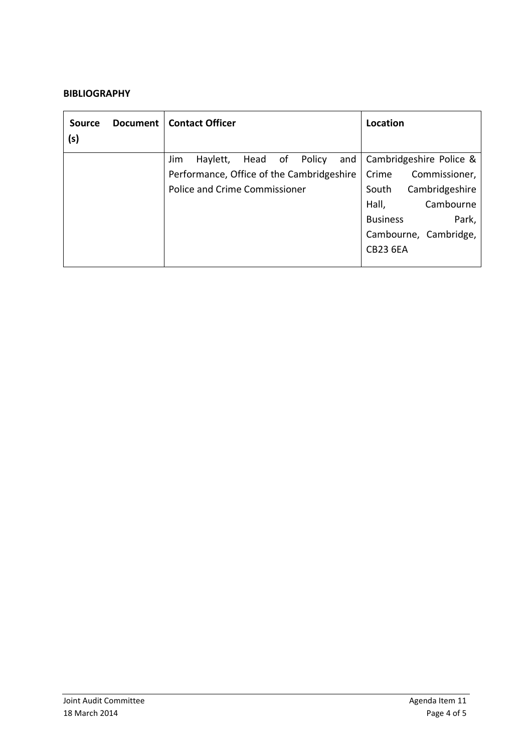## **BIBLIOGRAPHY**

| <b>Source</b><br>(s) | Document | <b>Contact Officer</b>                    | Location                 |
|----------------------|----------|-------------------------------------------|--------------------------|
|                      |          | Head of Policy<br>Haylett,<br>and<br>Jim  | Cambridgeshire Police &  |
|                      |          | Performance, Office of the Cambridgeshire | Crime<br>Commissioner,   |
|                      |          | Police and Crime Commissioner             | Cambridgeshire<br>South  |
|                      |          |                                           | Hall,<br>Cambourne       |
|                      |          |                                           | Park,<br><b>Business</b> |
|                      |          |                                           | Cambourne, Cambridge,    |
|                      |          |                                           | <b>CB23 6EA</b>          |
|                      |          |                                           |                          |